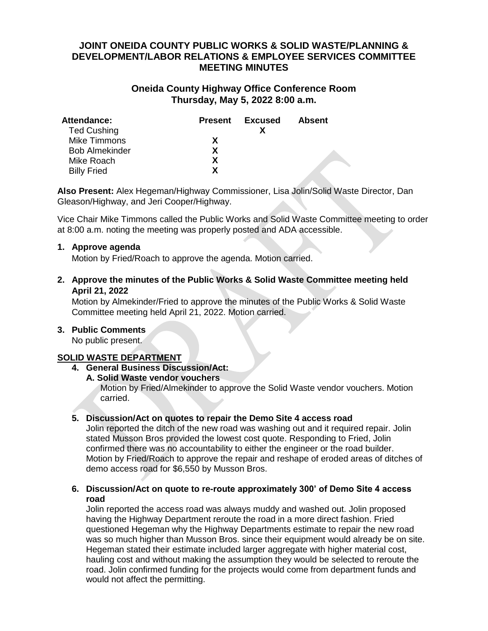# **JOINT ONEIDA COUNTY PUBLIC WORKS & SOLID WASTE/PLANNING & DEVELOPMENT/LABOR RELATIONS & EMPLOYEE SERVICES COMMITTEE MEETING MINUTES**

# **Oneida County Highway Office Conference Room Thursday, May 5, 2022 8:00 a.m.**

| <b>Attendance:</b><br><b>Ted Cushing</b> | <b>Present</b> | Excused | <b>Absent</b> |
|------------------------------------------|----------------|---------|---------------|
| <b>Mike Timmons</b>                      | X              |         |               |
| <b>Bob Almekinder</b>                    | x              |         |               |
| Mike Roach                               | x              |         |               |
| <b>Billy Fried</b>                       | x              |         |               |

**Also Present:** Alex Hegeman/Highway Commissioner, Lisa Jolin/Solid Waste Director, Dan Gleason/Highway, and Jeri Cooper/Highway.

Vice Chair Mike Timmons called the Public Works and Solid Waste Committee meeting to order at 8:00 a.m. noting the meeting was properly posted and ADA accessible.

#### **1. Approve agenda**

Motion by Fried/Roach to approve the agenda. Motion carried.

## **2. Approve the minutes of the Public Works & Solid Waste Committee meeting held April 21, 2022**

Motion by Almekinder/Fried to approve the minutes of the Public Works & Solid Waste Committee meeting held April 21, 2022. Motion carried.

## **3. Public Comments**

No public present.

## **SOLID WASTE DEPARTMENT**

# **4. General Business Discussion/Act:**

**A. Solid Waste vendor vouchers**

Motion by Fried/Almekinder to approve the Solid Waste vendor vouchers. Motion carried.

## **5. Discussion/Act on quotes to repair the Demo Site 4 access road**

Jolin reported the ditch of the new road was washing out and it required repair. Jolin stated Musson Bros provided the lowest cost quote. Responding to Fried, Jolin confirmed there was no accountability to either the engineer or the road builder. Motion by Fried/Roach to approve the repair and reshape of eroded areas of ditches of demo access road for \$6,550 by Musson Bros.

## **6. Discussion/Act on quote to re-route approximately 300' of Demo Site 4 access road**

Jolin reported the access road was always muddy and washed out. Jolin proposed having the Highway Department reroute the road in a more direct fashion. Fried questioned Hegeman why the Highway Departments estimate to repair the new road was so much higher than Musson Bros. since their equipment would already be on site. Hegeman stated their estimate included larger aggregate with higher material cost, hauling cost and without making the assumption they would be selected to reroute the road. Jolin confirmed funding for the projects would come from department funds and would not affect the permitting.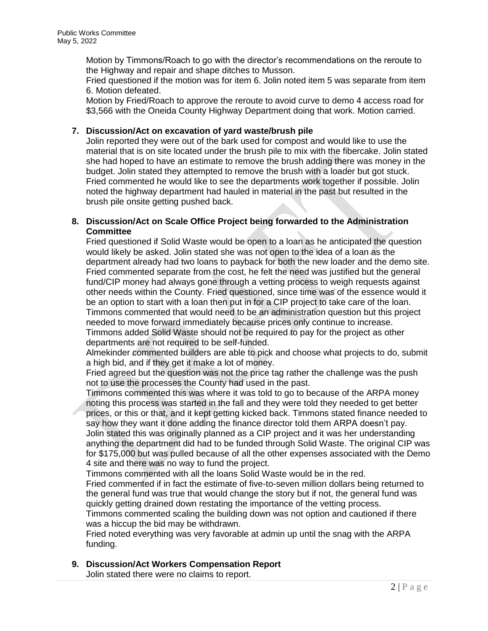Motion by Timmons/Roach to go with the director's recommendations on the reroute to the Highway and repair and shape ditches to Musson.

Fried questioned if the motion was for item 6. Jolin noted item 5 was separate from item 6. Motion defeated.

Motion by Fried/Roach to approve the reroute to avoid curve to demo 4 access road for \$3,566 with the Oneida County Highway Department doing that work. Motion carried.

## **7. Discussion/Act on excavation of yard waste/brush pile**

Jolin reported they were out of the bark used for compost and would like to use the material that is on site located under the brush pile to mix with the fibercake. Jolin stated she had hoped to have an estimate to remove the brush adding there was money in the budget. Jolin stated they attempted to remove the brush with a loader but got stuck. Fried commented he would like to see the departments work together if possible. Jolin noted the highway department had hauled in material in the past but resulted in the brush pile onsite getting pushed back.

#### **8. Discussion/Act on Scale Office Project being forwarded to the Administration Committee**

Fried questioned if Solid Waste would be open to a loan as he anticipated the question would likely be asked. Jolin stated she was not open to the idea of a loan as the department already had two loans to payback for both the new loader and the demo site. Fried commented separate from the cost, he felt the need was justified but the general fund/CIP money had always gone through a vetting process to weigh requests against other needs within the County. Fried questioned, since time was of the essence would it be an option to start with a loan then put in for a CIP project to take care of the loan. Timmons commented that would need to be an administration question but this project needed to move forward immediately because prices only continue to increase. Timmons added Solid Waste should not be required to pay for the project as other

departments are not required to be self-funded. Almekinder commented builders are able to pick and choose what projects to do, submit a high bid, and if they get it make a lot of money.

Fried agreed but the question was not the price tag rather the challenge was the push not to use the processes the County had used in the past.

Timmons commented this was where it was told to go to because of the ARPA money noting this process was started in the fall and they were told they needed to get better prices, or this or that, and it kept getting kicked back. Timmons stated finance needed to say how they want it done adding the finance director told them ARPA doesn't pay. Jolin stated this was originally planned as a CIP project and it was her understanding anything the department did had to be funded through Solid Waste. The original CIP was for \$175,000 but was pulled because of all the other expenses associated with the Demo 4 site and there was no way to fund the project.

Timmons commented with all the loans Solid Waste would be in the red.

Fried commented if in fact the estimate of five-to-seven million dollars being returned to the general fund was true that would change the story but if not, the general fund was quickly getting drained down restating the importance of the vetting process.

Timmons commented scaling the building down was not option and cautioned if there was a hiccup the bid may be withdrawn.

Fried noted everything was very favorable at admin up until the snag with the ARPA funding.

**9. Discussion/Act Workers Compensation Report**

Jolin stated there were no claims to report.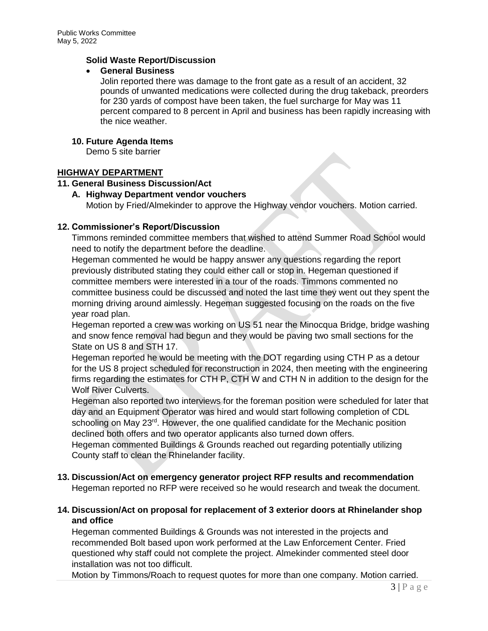## **Solid Waste Report/Discussion**

#### **General Business**

Jolin reported there was damage to the front gate as a result of an accident, 32 pounds of unwanted medications were collected during the drug takeback, preorders for 230 yards of compost have been taken, the fuel surcharge for May was 11 percent compared to 8 percent in April and business has been rapidly increasing with the nice weather.

## **10. Future Agenda Items**

Demo 5 site barrier

## **HIGHWAY DEPARTMENT**

## **11. General Business Discussion/Act**

## **A. Highway Department vendor vouchers**

Motion by Fried/Almekinder to approve the Highway vendor vouchers. Motion carried.

## **12. Commissioner's Report/Discussion**

Timmons reminded committee members that wished to attend Summer Road School would need to notify the department before the deadline.

Hegeman commented he would be happy answer any questions regarding the report previously distributed stating they could either call or stop in. Hegeman questioned if committee members were interested in a tour of the roads. Timmons commented no committee business could be discussed and noted the last time they went out they spent the morning driving around aimlessly. Hegeman suggested focusing on the roads on the five year road plan.

Hegeman reported a crew was working on US 51 near the Minocqua Bridge, bridge washing and snow fence removal had begun and they would be paving two small sections for the State on US 8 and STH 17.

Hegeman reported he would be meeting with the DOT regarding using CTH P as a detour for the US 8 project scheduled for reconstruction in 2024, then meeting with the engineering firms regarding the estimates for CTH P, CTH W and CTH N in addition to the design for the Wolf River Culverts.

Hegeman also reported two interviews for the foreman position were scheduled for later that day and an Equipment Operator was hired and would start following completion of CDL schooling on May 23<sup>rd</sup>. However, the one qualified candidate for the Mechanic position declined both offers and two operator applicants also turned down offers.

Hegeman commented Buildings & Grounds reached out regarding potentially utilizing County staff to clean the Rhinelander facility.

# **13. Discussion/Act on emergency generator project RFP results and recommendation**

Hegeman reported no RFP were received so he would research and tweak the document.

## **14. Discussion/Act on proposal for replacement of 3 exterior doors at Rhinelander shop and office**

Hegeman commented Buildings & Grounds was not interested in the projects and recommended Bolt based upon work performed at the Law Enforcement Center. Fried questioned why staff could not complete the project. Almekinder commented steel door installation was not too difficult.

Motion by Timmons/Roach to request quotes for more than one company. Motion carried.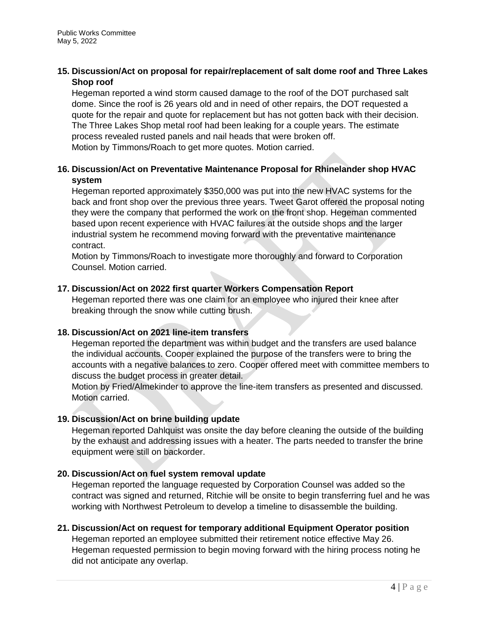## **15. Discussion/Act on proposal for repair/replacement of salt dome roof and Three Lakes Shop roof**

Hegeman reported a wind storm caused damage to the roof of the DOT purchased salt dome. Since the roof is 26 years old and in need of other repairs, the DOT requested a quote for the repair and quote for replacement but has not gotten back with their decision. The Three Lakes Shop metal roof had been leaking for a couple years. The estimate process revealed rusted panels and nail heads that were broken off. Motion by Timmons/Roach to get more quotes. Motion carried.

# **16. Discussion/Act on Preventative Maintenance Proposal for Rhinelander shop HVAC system**

Hegeman reported approximately \$350,000 was put into the new HVAC systems for the back and front shop over the previous three years. Tweet Garot offered the proposal noting they were the company that performed the work on the front shop. Hegeman commented based upon recent experience with HVAC failures at the outside shops and the larger industrial system he recommend moving forward with the preventative maintenance contract.

Motion by Timmons/Roach to investigate more thoroughly and forward to Corporation Counsel. Motion carried.

# **17. Discussion/Act on 2022 first quarter Workers Compensation Report**

Hegeman reported there was one claim for an employee who injured their knee after breaking through the snow while cutting brush.

# **18. Discussion/Act on 2021 line-item transfers**

Hegeman reported the department was within budget and the transfers are used balance the individual accounts. Cooper explained the purpose of the transfers were to bring the accounts with a negative balances to zero. Cooper offered meet with committee members to discuss the budget process in greater detail.

Motion by Fried/Almekinder to approve the line-item transfers as presented and discussed. Motion carried.

# **19. Discussion/Act on brine building update**

Hegeman reported Dahlquist was onsite the day before cleaning the outside of the building by the exhaust and addressing issues with a heater. The parts needed to transfer the brine equipment were still on backorder.

## **20. Discussion/Act on fuel system removal update**

Hegeman reported the language requested by Corporation Counsel was added so the contract was signed and returned, Ritchie will be onsite to begin transferring fuel and he was working with Northwest Petroleum to develop a timeline to disassemble the building.

# **21. Discussion/Act on request for temporary additional Equipment Operator position**

Hegeman reported an employee submitted their retirement notice effective May 26. Hegeman requested permission to begin moving forward with the hiring process noting he did not anticipate any overlap.